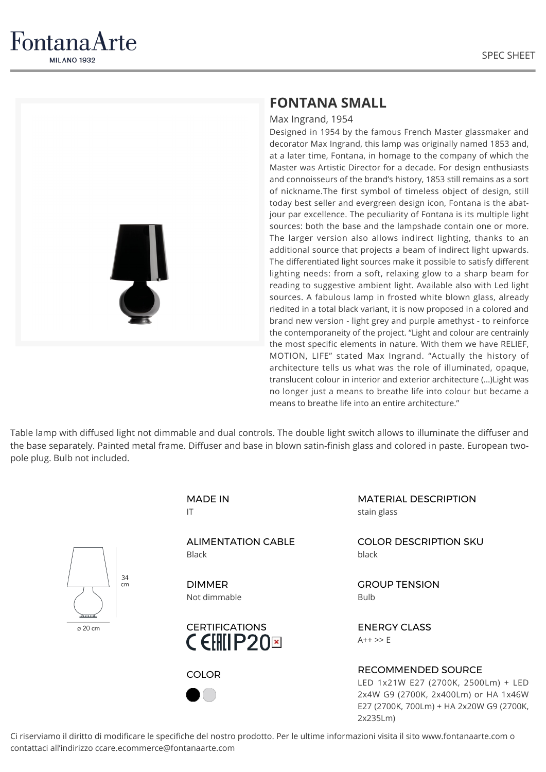

FontanaArte **MILANO 1932** 

## **FONTANA SMALL**

Max Ingrand, 1954

Designed in 1954 by the famous French Master glassmaker and decorator Max Ingrand, this lamp was originally named 1853 and, at a later time, Fontana, in homage to the company of which the Master was Artistic Director for a decade. For design enthusiasts and connoisseurs of the brand's history, 1853 still remains as a sort of nickname.The first symbol of timeless object of design, still today best seller and evergreen design icon, Fontana is the abatjour par excellence. The peculiarity of Fontana is its multiple light sources: both the base and the lampshade contain one or more. The larger version also allows indirect lighting, thanks to an additional source that projects a beam of indirect light upwards. The differentiated light sources make it possible to satisfy different lighting needs: from a soft, relaxing glow to a sharp beam for reading to suggestive ambient light. Available also with Led light sources. A fabulous lamp in frosted white blown glass, already riedited in a total black variant, it is now proposed in a colored and brand new version - light grey and purple amethyst - to reinforce the contemporaneity of the project. "Light and colour are centrainly the most specific elements in nature. With them we have RELIEF, MOTION, LIFE" stated Max Ingrand. "Actually the history of architecture tells us what was the role of illuminated, opaque, translucent colour in interior and exterior architecture (…)Light was no longer just a means to breathe life into colour but became a means to breathe life into an entire architecture."

Table lamp with diffused light not dimmable and dual controls. The double light switch allows to illuminate the diffuser and the base separately. Painted metal frame. Diffuser and base in blown satin-finish glass and colored in paste. European twopole plug. Bulb not included.



MADE IN IT

ALIMENTATION CABLE Black

DIMMER Not dimmable





MATERIAL DESCRIPTION stain glass

COLOR DESCRIPTION SKU black

GROUP TENSION Bulb

ENERGY CLASS  $A++ >> F$ 

## RECOMMENDED SOURCE

LED 1x21W E27 (2700K, 2500Lm) + LED 2x4W G9 (2700K, 2x400Lm) or HA 1x46W E27 (2700K, 700Lm) + HA 2x20W G9 (2700K, 2x235Lm)

Ci riserviamo il diritto di modificare le specifiche del nostro prodotto. Per le ultime informazioni visita il sito www.fontanaarte.com o contattaci all'indirizzo ccare.ecommerce@fontanaarte.com